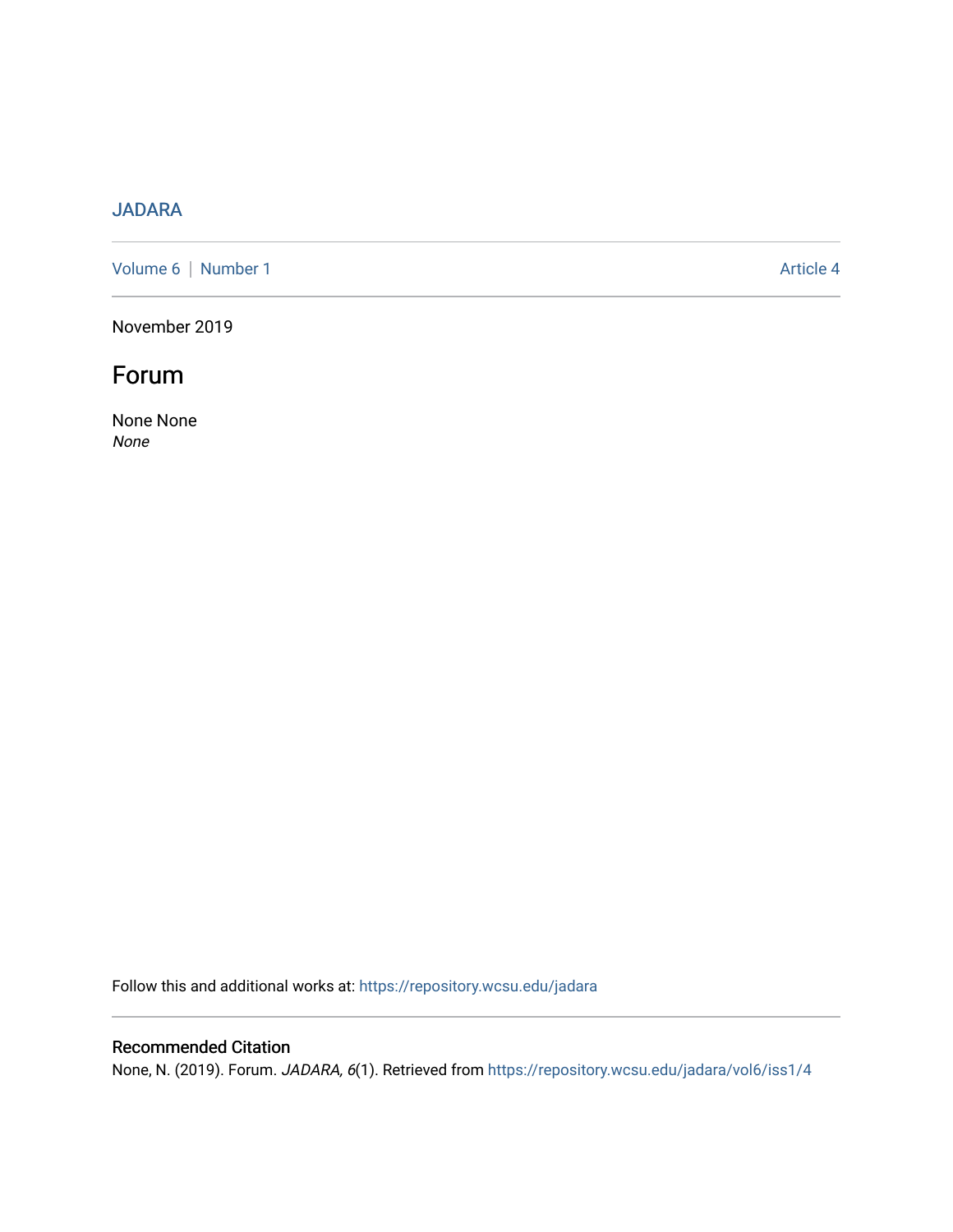## [JADARA](https://repository.wcsu.edu/jadara)

[Volume 6](https://repository.wcsu.edu/jadara/vol6) | [Number 1](https://repository.wcsu.edu/jadara/vol6/iss1) Article 4

November 2019

# Forum

None None None

Follow this and additional works at: [https://repository.wcsu.edu/jadara](https://repository.wcsu.edu/jadara?utm_source=repository.wcsu.edu%2Fjadara%2Fvol6%2Fiss1%2F4&utm_medium=PDF&utm_campaign=PDFCoverPages)

### Recommended Citation

None, N. (2019). Forum. JADARA, 6(1). Retrieved from [https://repository.wcsu.edu/jadara/vol6/iss1/4](https://repository.wcsu.edu/jadara/vol6/iss1/4?utm_source=repository.wcsu.edu%2Fjadara%2Fvol6%2Fiss1%2F4&utm_medium=PDF&utm_campaign=PDFCoverPages)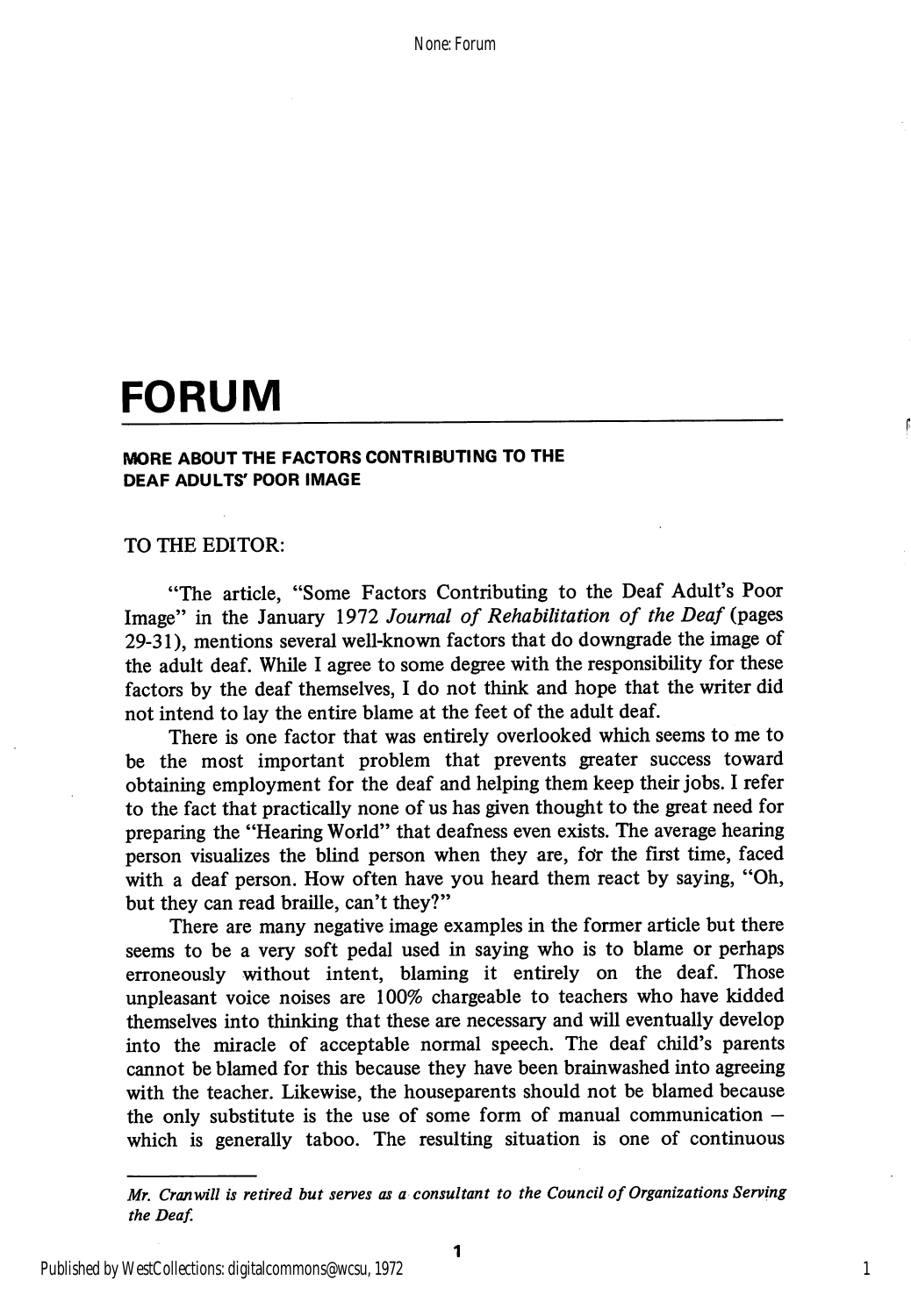None: Forum

# FORUM

#### MORE ABOUT THE FACTORS CONTRIBUTING TO THE DEAF ADULTS' POOR IMAGE

#### TO THE EDITOR:

"The article, "Some Factors Contributing to the Deaf Adult's Poor Image" in the January 1972 Journal of Rehabilitation of the Deaf (pages 29-31), mentions several well-known factors that do downgrade the image of the adult deaf. While I agree to some degree with the responsibility for these factors by the deaf themselves, I do not think and hope that the writer did not intend to lay the entire blame at the feet of the adult deaf.

There is one factor that was entirely overlooked which seems to me to be the most important problem that prevents greater success toward obtaining employment for the deaf and helping them keep their jobs. I refer to the fact that practically none of us has given thought to the great need for preparing the "Hearing World" that deafness even exists. The average hearing person visualizes the blind person when they are, for the first time, faced with a deaf person. How often have you heard them react by saying, "Oh, but they can read braille, can't they?"

There are many negative image examples in the former article but there seems to be a very soft pedal used in saying who is to blame or perhaps erroneously without intent, blaming it entirely on the deaf. Those unpleasant voice noises are 100% chargeable to teachers who have kidded themselves into thinking that these are necessary and will eventually develop into the miracle of acceptable normal speech. The deaf child's parents cannot be blamed for this because they have been brainwashed into agreeing with the teacher. Likewise, the houseparents should not be blamed because the only substitute is the use of some form of manual communication  $$ which is generally taboo. The resulting situation is one of continuous

1

Afr. Cranwill is retired but serves as a consultant to the Council of Organizations Serving the Deaf.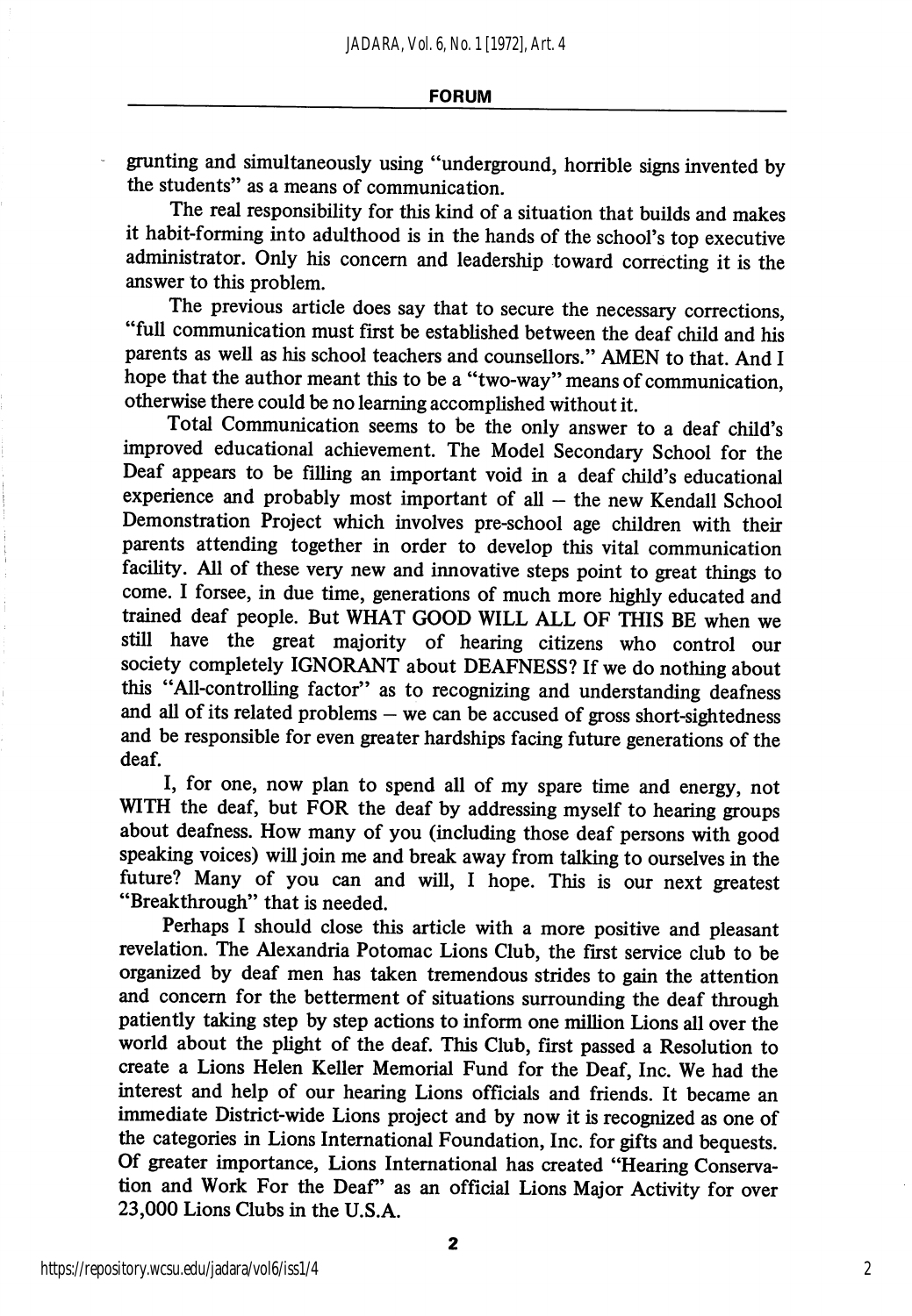grunting and simultaneously using "underground, horrible signs invented by the students" as a means of communication.

The real responsibility for this kind of a situation that builds and makes it habit-forming into adulthood is in the hands of the school's top executive administrator. Only his concern and leadership toward correcting it is the answer to this problem.

The previous article does say that to secure the necessary corrections, "full communication must first be established between the deaf child and his parents as well as his school teachers and counsellors." AMEN to that. And I hope that the author meant this to be a "two-way" means of communication, otherwise there could be no learning accomplished without it.

Total Communication seems to be the only answer to a deaf child's improved educational achievement. The Model Secondary School for the Deaf appears to be filling an important void in a deaf child's educational experience and probably most important of all — the new Kendall School Demonstration Project which involves pre-school age children with their parents attending together in order to develop this vital communication facility. All of these very new and innovative steps point to great things to come. I forsee, in due time, generations of much more highly educated and trained deaf people. But WHAT GOOD WILL ALL OF THIS BE when we still have the great majority of hearing citizens who control our society completely IGNORANT about DEAFNESS? If we do nothing about this "All-controlling factor" as to recognizing and understanding deafness and all of its related problems — we can be accused of gross short-sightedness and be responsible for even greater hardships facing future generations of the deaf.

I, for one, now plan to spend all of my spare time and energy, not WITH the deaf, but FOR the deaf by addressing myself to hearing groups about deafness. How many of you (including those deaf persons with good speaking voices) will join me and break away from talking to ourselves in the future? Many of you can and will, I hope. This is our next greatest "Breakthrough" that is needed.

Perhaps I should close this article with a more positive and pleasant revelation. The Alexandria Potomac Lions Club, the first service club to be organized by deaf men has taken tremendous strides to gain the attention and concern for the betterment of situations surrounding the deaf through patiently taking step by step actions to inform one million Lions all over the world about the phght of the deaf. This Club, first passed a Resolution to create a Lions Helen Keller Memorial Fund for the Deaf, Inc. We had the interest and help of our hearing Lions officials and friends. It became an immediate District-wide Lions project and by now it is recognized as one of the categories in Lions International Foundation, Inc. for gifts and bequests. Of greater importance. Lions International has created "Hearing Conserva tion and Work For the Deaf" as an official Lions Major Activity for over 23,000 Lions Clubs in the U.S.A.

2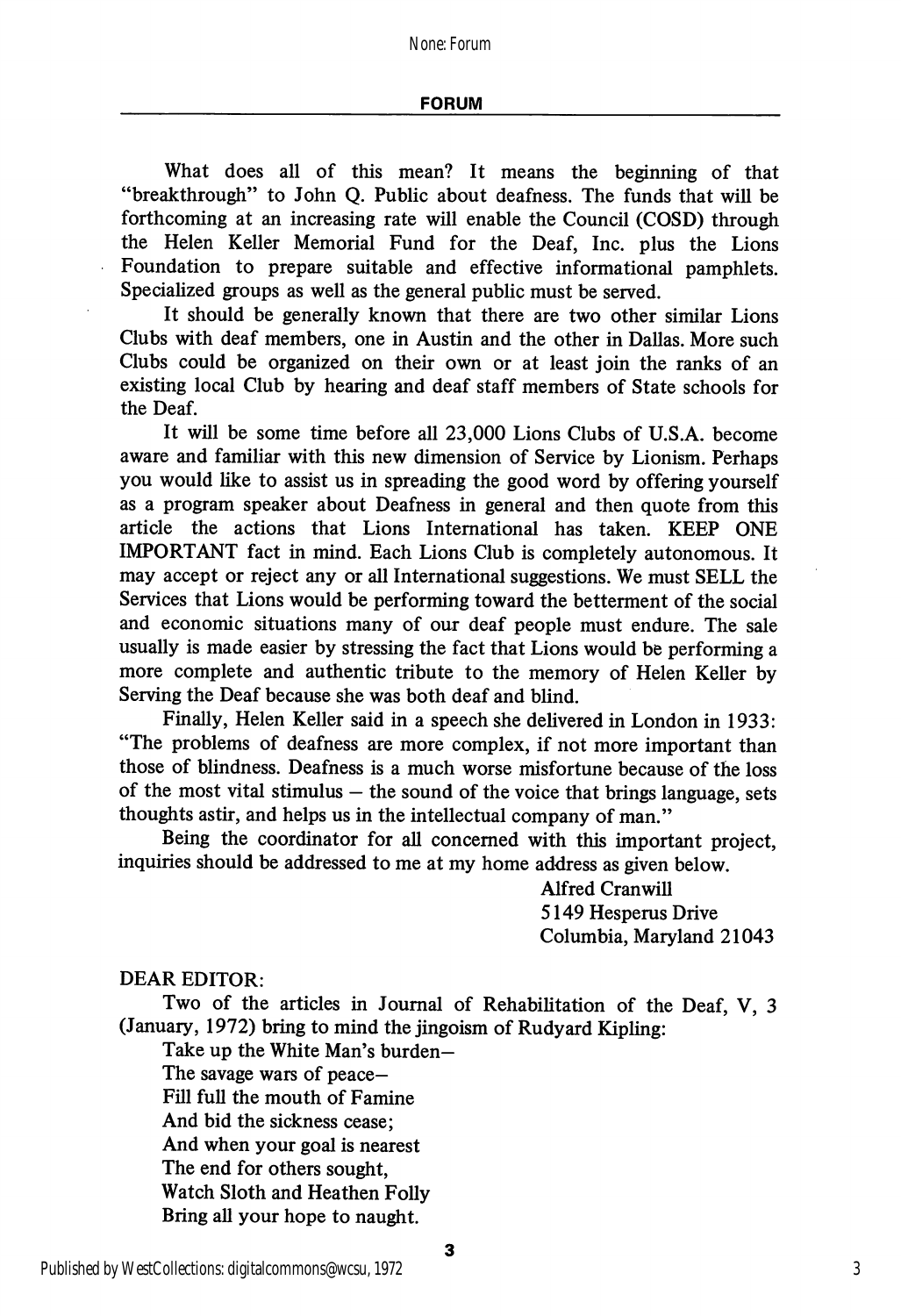#### FORUM

What does all of this mean? It means the beginning of that "breakthrough" to John Q. Public about deafness. The funds that will be forthcoming at an increasing rate will enable the Council (COSD) through the Helen Keller Memorial Fund for the Deaf, Inc. plus the Lions Foundation to prepare suitable and effective informational pamphlets. Specialized groups as well as the general public must be served.

It should be generally known that there are two other similar Lions Clubs with deaf members, one in Austin and the other in Dallas. More such Clubs could be organized on their own or at least join the ranks of an existing local Club by hearing and deaf staff members of State schools for the Deaf.

It will be some time before all 23,000 Lions Clubs of U.S.A. become aware and familiar with this new dimension of Service by Lionism. Perhaps you would like to assist us in spreading the good word by offering yourself as a program speaker about Deafness in general and then quote from this article the actions that Lions International has taken. KEEP ONE IMPORTANT fact in mind. Each Lions Club is completely autonomous. It may accept or reject any or all International suggestions. We must SELL the Services that Lions would be performing toward the betterment of the social and economic situations many of our deaf people must endure. The sale usually is made easier by stressing the fact that Lions would be performing a more complete and authentic tribute to the memory of Helen Keller by Serving the Deaf because she was both deaf and blind.

Finally, Helen Keller said in a speech she dehvered in London in 1933: "The problems of deafness are more complex, if not more important than those of blindness. Deafness is a much worse misfortune because of the loss of the most vital stimulus  $-$  the sound of the voice that brings language, sets thoughts astir, and helps us in the intellectual company of man."

Being the coordinator for all concerned with this important project, inquiries should be addressed to me at my home address as given below.

> Alfred Cranwill 5149 Hesperus Drive Columbia, Maryland 21043

DEAR EDITOR:

Two of the articles in Journal of Rehabilitation of the Deaf, V, 3 (January, 1972) bring to mind the jingoism of Rudyard Kipling:

3

Take up the White Man's burden— The savage wars of peace— Fill full the mouth of Famine

And bid the sickness cease;

And when your goal is nearest

The end for others sought.

Watch Sloth and Heathen Folly

Bring all your hope to naught.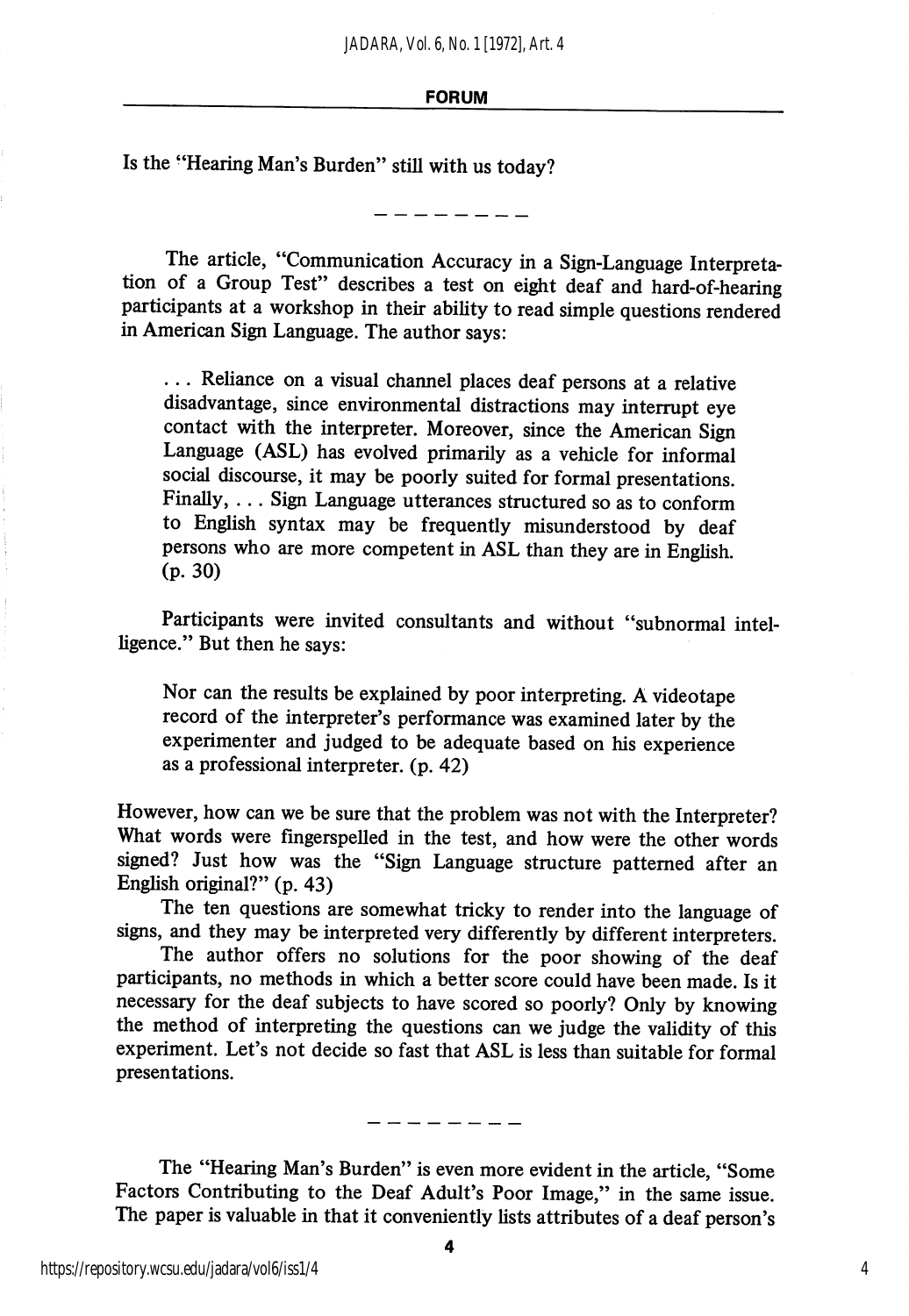#### FORUM

Is the "Hearing Man's Burden" still with us today?

The article, "Communication Accuracy in a Sign-Language Interpreta tion of a Group Test" describes a test on eight deaf and hard-of-hearing participants at a workshop in their ability to read simple questions rendered in American Sign Language. The author says:

... Reliance on a visual channel places deaf persons at a relative disadvantage, since environmental distractions may interrupt eye contact with the interpreter. Moreover, since the American Sign Language (ASL) has evolved primarily as a vehicle for informal social discourse, it may be poorly suited for formal presentations. Finally, ... Sign Language utterances structured so as to conform to English syntax may be frequently misunderstood by deaf persons who are more competent in ASL than they are in English (p. 30)

Participants were invited consultants and without "subnormal intel ligence." But then he says:

Nor can the results be explained by poor interpreting. A videotape record of the interpreter's performance was examined later by the experimenter and judged to be adequate based on his experience as a professional interpreter, (p. 42)

However, how can we be sure that the problem was not with the Interpreter? What words were fingerspelled in the test, and how were the other words signed? Just how was the "Sign Language structure patterned after an English original?" (p. 43)

The ten questions are somewhat tricky to render into the language of signs, and they may be interpreted very differently by different interpreters.

The author offers no solutions for the poor showing of the deaf participants, no methods in which a better score could have been made. Is it necessary for the deaf subjects to have scored so poorly? Only by knowing the method of interpreting the questions can we judge the validity of this experiment. Let's not decide so fast that ASL is less than suitable for formal presentations.

The "Hearing Man's Burden" is even more evident in the article, "Some Factors Contributing to the Deaf Adult's Poor Image," in the same issue. The paper is valuable in that it conveniently lists attributes of a deaf person's

 $\frac{1}{2}$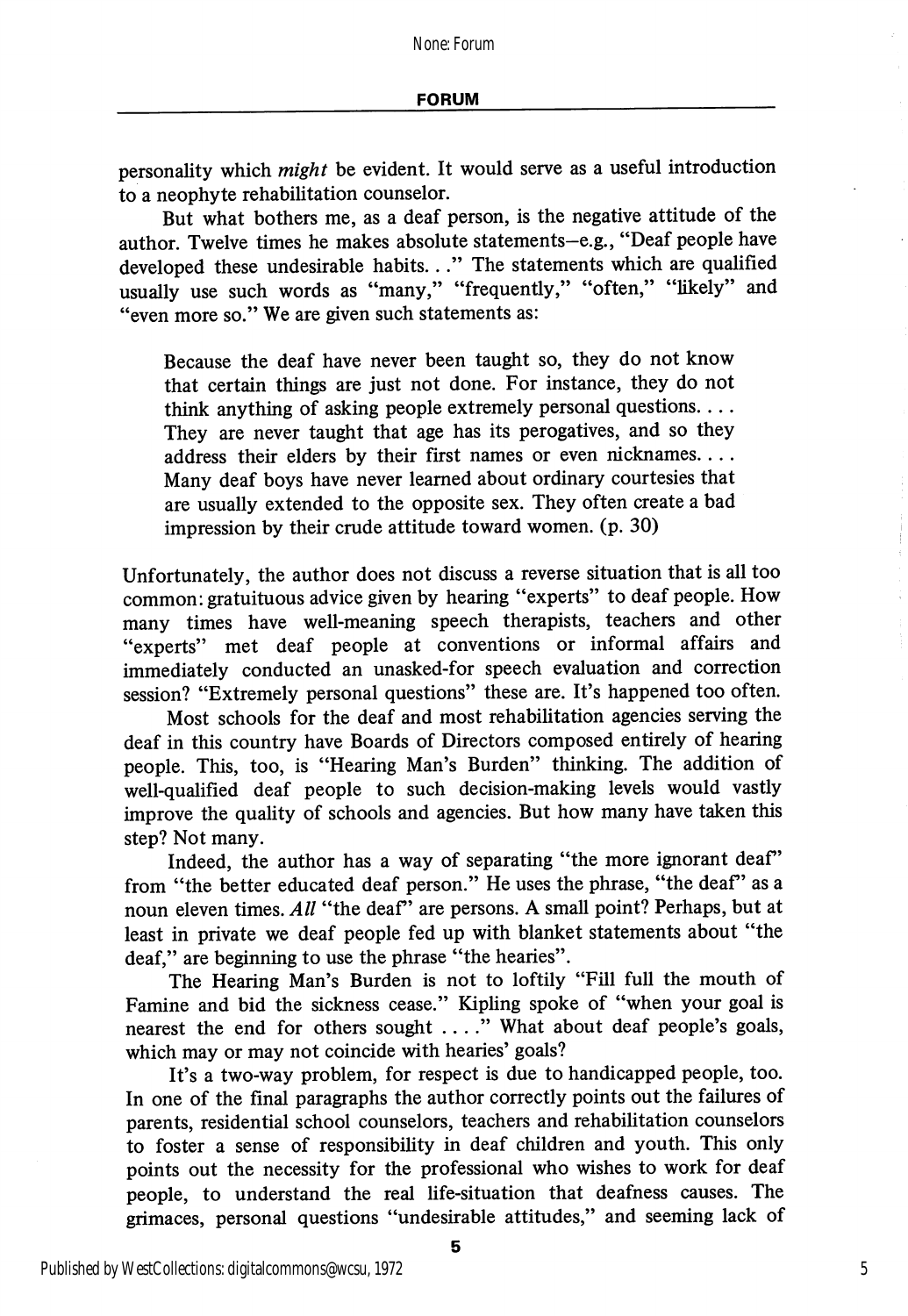personality which *might* be evident. It would serve as a useful introduction to a neophyte rehabilitation counselor.

But what bothers me, as a deaf person, is the negative attitude of the author. Twelve times he makes absolute statements-e.g., "Deaf people have developed these undesirable habits..." The statements which are qualified usually use such words as "many," "frequently," "often," "likely" and "even more so." We are given such statements as:

Because the deaf have never been taught so, they do not know that certain things are just not done. For instance, they do not think anything of asking people extremely personal questions.... They are never taught that age has its perogatives, and so they address their elders by their first names or even nicknames.... Many deaf boys have never learned about ordinary courtesies that are usually extended to the opposite sex. They often create a bad impression by their crude attitude toward women, (p. 30)

Unfortunately, the author does not discuss a reverse situation that is all too common: gratuituous advice given by hearing "experts" to deaf people. How many times have well-meaning speech therapists, teachers and other "experts" met deaf people at conventions or informal affairs and immediately conducted an unasked-for speech evaluation and correction session? "Extremely personal questions" these are. It's happened too often.

Most schools for the deaf and most rehabilitation agencies serving the deaf in this country have Boards of Directors composed entirely of hearing people. This, too, is "Hearing Man's Burden" thinking. The addition of well-qualified deaf people to such decision-making levels would vastly improve the quality of schools and agencies. But how many have taken this step? Not many.

Indeed, the author has a way of separating "the more ignorant deaf" from "the better educated deaf person." He uses the phrase, "the deaf" as a noun eleven times. All "the deaf" are persons. A small point? Perhaps, but at least in private we deaf people fed up with blanket statements about "the deaf," are beginning to use the phrase "the hearies".

The Hearing Man's Burden is not to loftily "Fill full the mouth of Famine and bid the sickness cease." Kipling spoke of "when your goal is nearest the end for others sought .. .." What about deaf people's goals, which may or may not coincide with hearies' goals?

It's a two-way problem, for respect is due to handicapped people, too. In one of the final paragraphs the author correctly points out the failures of parents, residential school counselors, teachers and rehabilitation counselors to foster a sense of responsibility in deaf children and youth. This only points out the necessity for the professional who wishes to work for deaf people, to understand the real life-situation that deafness causes. The grimaces, personal questions "undesirable attitudes," and seeming lack of